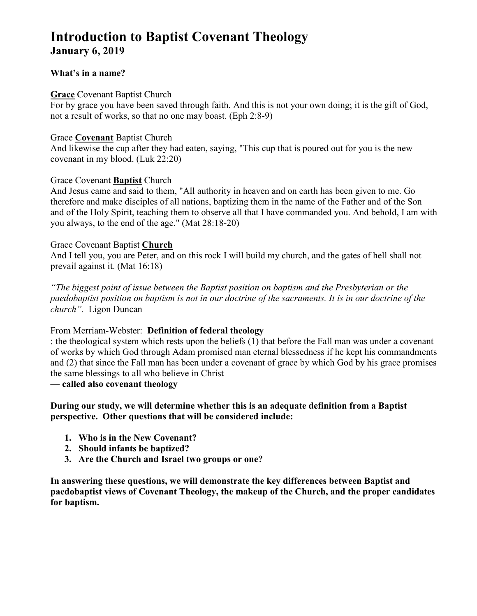# **Introduction to Baptist Covenant Theology January 6, 2019**

# **What's in a name?**

### **Grace** Covenant Baptist Church

For by grace you have been saved through faith. And this is not your own doing; it is the gift of God, not a result of works, so that no one may boast. (Eph 2:8-9)

# Grace **Covenant** Baptist Church

And likewise the cup after they had eaten, saying, "This cup that is poured out for you is the new covenant in my blood. (Luk 22:20)

# Grace Covenant **Baptist** Church

And Jesus came and said to them, "All authority in heaven and on earth has been given to me. Go therefore and make disciples of all nations, baptizing them in the name of the Father and of the Son and of the Holy Spirit, teaching them to observe all that I have commanded you. And behold, I am with you always, to the end of the age." (Mat 28:18-20)

# Grace Covenant Baptist **Church**

And I tell you, you are Peter, and on this rock I will build my church, and the gates of hell shall not prevail against it. (Mat 16:18)

*"The biggest point of issue between the Baptist position on baptism and the Presbyterian or the paedobaptist position on baptism is not in our doctrine of the sacraments. It is in our doctrine of the church".* Ligon Duncan

From Merriam-Webster: **Definition of federal theology** 

: the theological system which rests upon the beliefs (1) that before the Fall man was under a covenant of works by which God through Adam promised man eternal blessedness if he kept his commandments and (2) that since the Fall man has been under a covenant of grace by which God by his grace promises the same blessings to all who believe in Christ

# — **called also covenant theology**

# **During our study, we will determine whether this is an adequate definition from a Baptist perspective. Other questions that will be considered include:**

- **1. Who is in the New Covenant?**
- **2. Should infants be baptized?**
- **3. Are the Church and Israel two groups or one?**

**In answering these questions, we will demonstrate the key differences between Baptist and paedobaptist views of Covenant Theology, the makeup of the Church, and the proper candidates for baptism.**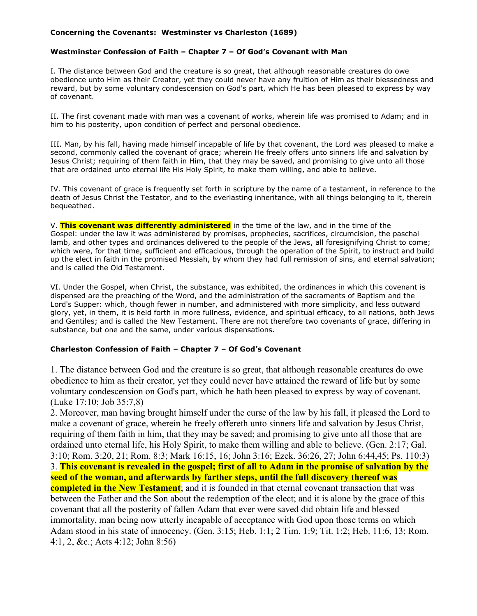#### **Concerning the Covenants: Westminster vs Charleston (1689)**

#### **Westminster Confession of Faith – Chapter 7 – Of God's Covenant with Man**

I. The distance between God and the creature is so great, that although reasonable creatures do owe obedience unto Him as their Creator, yet they could never have any fruition of Him as their blessedness and reward, but by some voluntary condescension on God's part, which He has been pleased to express by way of covenant.

II. The first covenant made with man was a covenant of works, wherein life was promised to Adam; and in him to his posterity, upon condition of perfect and personal obedience.

III. Man, by his fall, having made himself incapable of life by that covenant, the Lord was pleased to make a second, commonly called the covenant of grace; wherein He freely offers unto sinners life and salvation by Jesus Christ; requiring of them faith in Him, that they may be saved, and promising to give unto all those that are ordained unto eternal life His Holy Spirit, to make them willing, and able to believe.

IV. This covenant of grace is frequently set forth in scripture by the name of a testament, in reference to the death of Jesus Christ the Testator, and to the everlasting inheritance, with all things belonging to it, therein bequeathed.

V. **This covenant was differently administered** in the time of the law, and in the time of the Gospel: under the law it was administered by promises, prophecies, sacrifices, circumcision, the paschal lamb, and other types and ordinances delivered to the people of the Jews, all foresignifying Christ to come; which were, for that time, sufficient and efficacious, through the operation of the Spirit, to instruct and build up the elect in faith in the promised Messiah, by whom they had full remission of sins, and eternal salvation; and is called the Old Testament.

VI. Under the Gospel, when Christ, the substance, was exhibited, the ordinances in which this covenant is dispensed are the preaching of the Word, and the administration of the sacraments of Baptism and the Lord's Supper: which, though fewer in number, and administered with more simplicity, and less outward glory, yet, in them, it is held forth in more fullness, evidence, and spiritual efficacy, to all nations, both Jews and Gentiles; and is called the New Testament. There are not therefore two covenants of grace, differing in substance, but one and the same, under various dispensations.

#### **Charleston Confession of Faith – Chapter 7 – Of God's Covenant**

1. The distance between God and the creature is so great, that although reasonable creatures do owe obedience to him as their creator, yet they could never have attained the reward of life but by some voluntary condescension on God's part, which he hath been pleased to express by way of covenant. (Luke 17:10; Job 35:7,8)

2. Moreover, man having brought himself under the curse of the law by his fall, it pleased the Lord to make a covenant of grace, wherein he freely offereth unto sinners life and salvation by Jesus Christ, requiring of them faith in him, that they may be saved; and promising to give unto all those that are ordained unto eternal life, his Holy Spirit, to make them willing and able to believe. (Gen. 2:17; Gal. 3:10; Rom. 3:20, 21; Rom. 8:3; Mark 16:15, 16; John 3:16; Ezek. 36:26, 27; John 6:44,45; Ps. 110:3) 3. **This covenant is revealed in the gospel; first of all to Adam in the promise of salvation by the seed of the woman, and afterwards by farther steps, until the full discovery thereof was completed in the New Testament**; and it is founded in that eternal covenant transaction that was between the Father and the Son about the redemption of the elect; and it is alone by the grace of this covenant that all the posterity of fallen Adam that ever were saved did obtain life and blessed immortality, man being now utterly incapable of acceptance with God upon those terms on which Adam stood in his state of innocency. (Gen. 3:15; Heb. 1:1; 2 Tim. 1:9; Tit. 1:2; Heb. 11:6, 13; Rom. 4:1, 2, &c.; Acts 4:12; John 8:56)